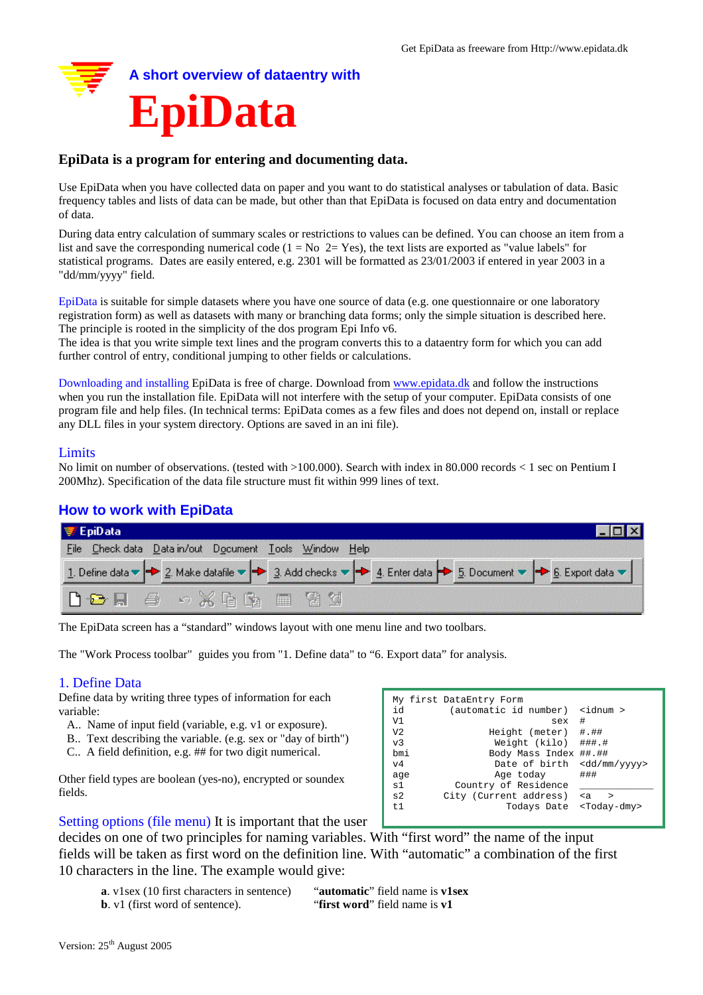

# **EpiData is a program for entering and documenting data.**

Use EpiData when you have collected data on paper and you want to do statistical analyses or tabulation of data. Basic frequency tables and lists of data can be made, but other than that EpiData is focused on data entry and documentation of data.

During data entry calculation of summary scales or restrictions to values can be defined. You can choose an item from a list and save the corresponding numerical code  $(1 = No 2 = Yes)$ , the text lists are exported as "value labels" for statistical programs. Dates are easily entered, e.g. 2301 will be formatted as 23/01/2003 if entered in year 2003 in a "dd/mm/yyyy" field.

EpiData is suitable for simple datasets where you have one source of data (e.g. one questionnaire or one laboratory registration form) as well as datasets with many or branching data forms; only the simple situation is described here. The principle is rooted in the simplicity of the dos program Epi Info v6.

The idea is that you write simple text lines and the program converts this to a dataentry form for which you can add further control of entry, conditional jumping to other fields or calculations.

Downloading and installing EpiData is free of charge. Download from www.epidata.dk and follow the instructions when you run the installation file. EpiData will not interfere with the setup of your computer. EpiData consists of one program file and help files. (In technical terms: EpiData comes as a few files and does not depend on, install or replace any DLL files in your system directory. Options are saved in an ini file).

#### Limits

No limit on number of observations. (tested with >100.000). Search with index in 80.000 records < 1 sec on Pentium I 200Mhz). Specification of the data file structure must fit within 999 lines of text.

# **How to work with EpiData**

| $\equiv$ EpiData                                                                                                                                                                                                             |  |
|------------------------------------------------------------------------------------------------------------------------------------------------------------------------------------------------------------------------------|--|
| File Check data Data in/out Document Tools Window Help                                                                                                                                                                       |  |
| 1. Define data $\blacktriangleright$ 2. Make datafile $\blacktriangleright$ 3. Add checks $\blacktriangleright$ 4. Enter data $\blacktriangleright$ 5. Document $\blacktriangleright$ 6. Export data $\blacktriangleright$ 1 |  |
| $\mathbf{D}$ $\mathbf{B}$ $\mathbf{A}$ $\mathbf{A}$ $\mathbf{A}$ $\mathbf{B}$ $\mathbf{B}$ $\mathbf{B}$ $\mathbf{A}$                                                                                                         |  |

The EpiData screen has a "standard" windows layout with one menu line and two toolbars.

The "Work Process toolbar" guides you from "1. Define data" to "6. Export data" for analysis.

### 1. Define Data

Define data by writing three types of information for each variable:

- A.. Name of input field (variable, e.g. v1 or exposure).
- B.. Text describing the variable. (e.g. sex or "day of birth")
- C.. A field definition, e.g. ## for two digit numerical.

Other field types are boolean (yes-no), encrypted or soundex fields.

|                | My first DataEntry Form |                         |
|----------------|-------------------------|-------------------------|
| id             | (automatic id number)   | <idnum></idnum>         |
| V1             | sex                     | #                       |
| V2             | Height (meter) #.##     |                         |
| v3             | Weight (kilo) ###.#     |                         |
| bmi            | Body Mass Index ##.##   |                         |
| V <sub>4</sub> | Date of birth           | <dd mm="" yyyy=""></dd> |
| age            | Age today               | ###                     |
| s1             | Country of Residence    |                         |
| s2             | City (Current address)  | $\epsilon$<br>$\geq$    |
| t1             | Todays Date             | <today-dmy></today-dmy> |
|                |                         |                         |

Setting options (file menu) It is important that the user

decides on one of two principles for naming variables. With "first word" the name of the input fields will be taken as first word on the definition line. With "automatic" a combination of the first 10 characters in the line. The example would give:

**a**. v1sex (10 first characters in sentence) "**automatic**" field name is **v1sex b**. v1 (first word of sentence). "**first word**" field name is **v1**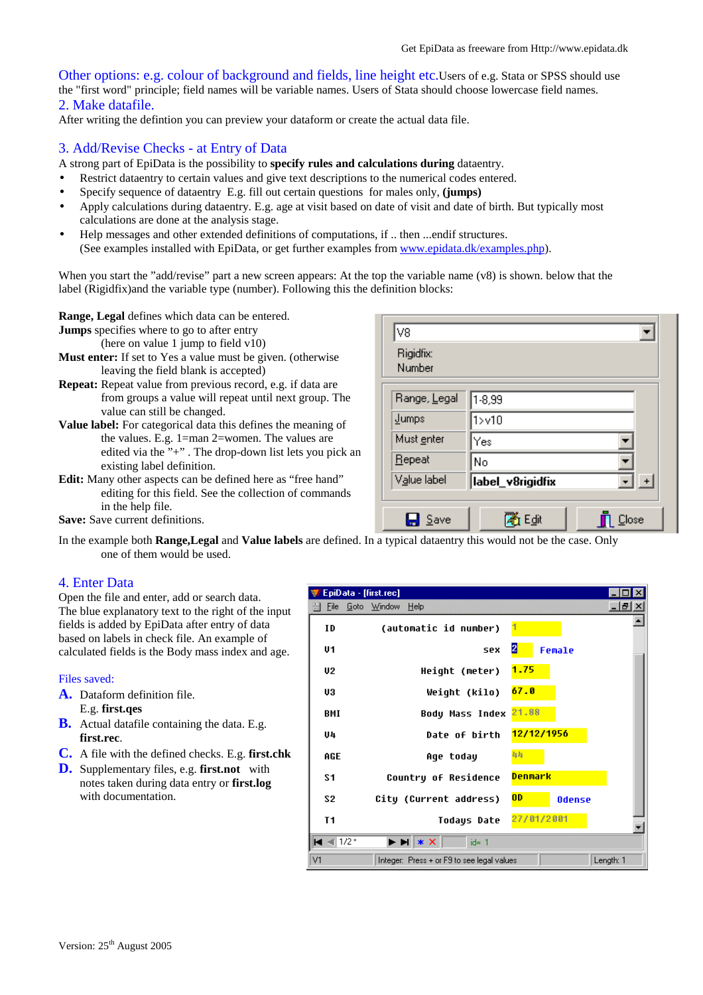Other options: e.g. colour of background and fields, line height etc.Users of e.g. Stata or SPSS should use the "first word" principle; field names will be variable names. Users of Stata should choose lowercase field names. 2. Make datafile.

After writing the defintion you can preview your dataform or create the actual data file.

### 3. Add/Revise Checks - at Entry of Data

A strong part of EpiData is the possibility to **specify rules and calculations during** dataentry.

- Restrict dataentry to certain values and give text descriptions to the numerical codes entered.
- Specify sequence of dataentry E.g. fill out certain questions for males only, **(jumps)**
- Apply calculations during dataentry. E.g. age at visit based on date of visit and date of birth. But typically most calculations are done at the analysis stage.
- Help messages and other extended definitions of computations, if .. then ...endif structures. (See examples installed with EpiData, or get further examples from www.epidata.dk/examples.php).

When you start the "add/revise" part a new screen appears: At the top the variable name (v8) is shown. below that the label (Rigidfix)and the variable type (number). Following this the definition blocks:

**Range, Legal** defines which data can be entered.

**Jumps** specifies where to go to after entry

(here on value 1 jump to field  $v10$ )

- **Must enter:** If set to Yes a value must be given. (otherwise leaving the field blank is accepted)
- **Repeat:** Repeat value from previous record, e.g. if data are from groups a value will repeat until next group. The value can still be changed.

**Value label:** For categorical data this defines the meaning of the values. E.g. 1=man 2=women. The values are edited via the "+". The drop-down list lets you pick an existing label definition.

**Edit:** Many other aspects can be defined here as "free hand" editing for this field. See the collection of commands in the help file.

**Save:** Save current definitions.

| lv8                 |                  |       |  |  |
|---------------------|------------------|-------|--|--|
| Rigidfix:<br>Number |                  |       |  |  |
| Range, Legal        | 1-8,99           |       |  |  |
| Jumps               | 1 > 10           |       |  |  |
| Must enter          | Yes              |       |  |  |
| Repeat              | No               |       |  |  |
| Value label         | label_v8rigidfix |       |  |  |
|                     |                  |       |  |  |
| Save                | Edit             | Close |  |  |

In the example both **Range,Legal** and **Value labels** are defined. In a typical dataentry this would not be the case. Only one of them would be used.

# 4. Enter Data

Open the file and enter, add or search data. The blue explanatory text to the right of the input fields is added by EpiData after entry of data based on labels in check file. An example of calculated fields is the Body mass index and age.

Files saved:

- **A.** Dataform definition file. E.g. **first.qes**
- **B.** Actual datafile containing the data. E.g. **first.rec**.
- **C.** A file with the defined checks. E.g. **first.chk**
- **D.** Supplementary files, e.g. **first.not** with notes taken during data entry or **first.log** with documentation.

| EpiData - [first.rec]    |                                                                                                                           |           |
|--------------------------|---------------------------------------------------------------------------------------------------------------------------|-----------|
| <u>File Goto W</u> indow | Help                                                                                                                      | -15       |
| ID                       | (automatic id number)                                                                                                     |           |
| U1                       | 2<br><b>SPX</b><br>Female                                                                                                 |           |
| U <sub>2</sub>           | 1.75<br>Height (meter)                                                                                                    |           |
| UЗ                       | 67.0<br>Weight (kilo)                                                                                                     |           |
| BMI                      | 21.88<br>Body Mass Index                                                                                                  |           |
| U4                       | 12/12/1956<br>Date of birth                                                                                               |           |
| AGE                      | 44<br>Age today                                                                                                           |           |
| S1                       | Denmark<br>Country of Residence                                                                                           |           |
| S2                       | <b>OD</b><br>City (Current address)<br><b>Odense</b>                                                                      |           |
| T <sub>1</sub>           | 27/01/2001<br>Todays Date                                                                                                 |           |
| <b>Filling</b> 1/2*      | $\blacktriangleright$ $\blacktriangleright$ $\blacktriangleright$ $\blacktriangleright$ $\blacktriangleright$<br>$id = 1$ |           |
| V1                       | Integer: Press + or F9 to see legal values                                                                                | Length: 1 |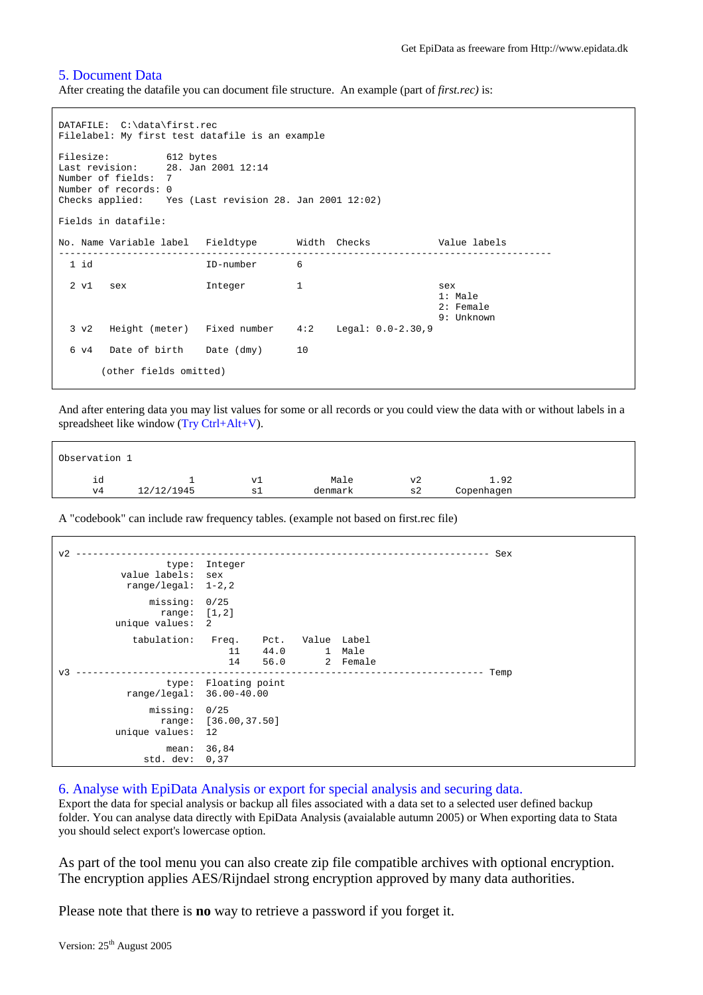#### 5. Document Data

After creating the datafile you can document file structure. An example (part of *first.rec)* is:

```
DATAFILE: C:\data\first.rec
Filelabel: My first test datafile is an example
Filesize: 612 bytes
Last revision: 28. Jan 2001 12:14
Number of fields: 7
Number of records: 0
Checks applied: Yes (Last revision 28. Jan 2001 12:02)
Fields in datafile:
No. Name Variable label Fieldtype Width Checks Value labels
 ---------------------------------------------------------------------------------------
                     1D-number 6
 2 v1 sex Integer 1 sex
                                                         1: Male
                                                         2: Female
                                                         9: Unknown
 3 v2 Height (meter) Fixed number 4:2 Legal: 0.0-2.30,9
 6 v4 Date of birth Date (dmy) 10
      (other fields omitted)
```
And after entering data you may list values for some or all records or you could view the data with or without labels in a spreadsheet like window (Try Ctrl+Alt+V).

| Observation 1 |            |    |         |    |            |  |
|---------------|------------|----|---------|----|------------|--|
| ıd            |            | vl | Male    | v2 | 1.92       |  |
| $_{\rm V4}$   | 12/12/1945 | sl | denmark | s2 | Copenhagen |  |

A "codebook" can include raw frequency tables. (example not based on first.rec file)

```
v2 ------------------------------------------------------------------------- Sex
                 type: Integer
         value labels: sex
          range/legal: 1-2,2
             missing: 0/25
                 range: [1,2]
         unique values: 2
            tabulation: Freq. Pct. Value Label
                            11 44.0 1 Male
                            14 56.0 2 Female
v3 ------------------------------------------------------------------------ Temp
                  type: Floating point
           range/legal: 36.00-40.00
               missing: 0/25
                 range: [36.00,37.50]
         unique values: 12
                mean: 36,84
             std. dev: 0,37
```
6. Analyse with EpiData Analysis or export for special analysis and securing data.

Export the data for special analysis or backup all files associated with a data set to a selected user defined backup folder. You can analyse data directly with EpiData Analysis (avaialable autumn 2005) or When exporting data to Stata you should select export's lowercase option.

As part of the tool menu you can also create zip file compatible archives with optional encryption. The encryption applies AES/Rijndael strong encryption approved by many data authorities.

Please note that there is **no** way to retrieve a password if you forget it.